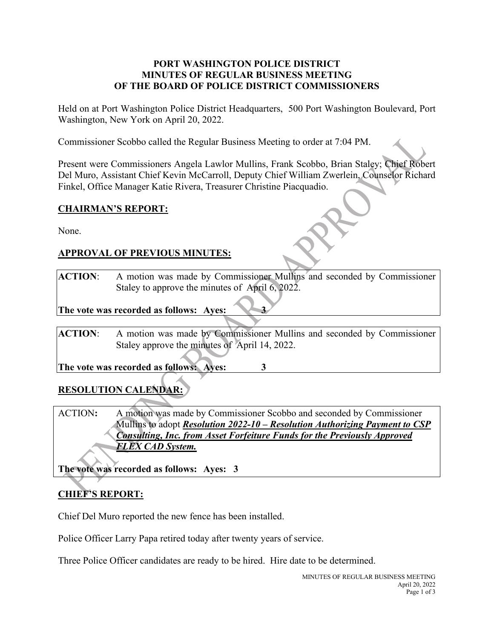#### **PORT WASHINGTON POLICE DISTRICT MINUTES OF REGULAR BUSINESS MEETING OF THE BOARD OF POLICE DISTRICT COMMISSIONERS**

Held on at Port Washington Police District Headquarters, 500 Port Washington Boulevard, Port Washington, New York on April 20, 2022.

Commissioner Scobbo called the Regular Business Meeting to order at 7:04 PM.

Present were Commissioners Angela Lawlor Mullins, Frank Scobbo, Brian Staley; Chief Robert Del Muro, Assistant Chief Kevin McCarroll, Deputy Chief William Zwerlein, Counselor Richard Finkel, Office Manager Katie Rivera, Treasurer Christine Piacquadio.

#### **CHAIRMAN'S REPORT:**

None.

## **APPROVAL OF PREVIOUS MINUTES:**

**ACTION**: A motion was made by Commissioner Mullins and seconded by Commissioner Staley to approve the minutes of April 6, 2022.

**The** vote was recorded as follows: Ayes:  $\sqrt{3}$ 

**ACTION**: A motion was made by Commissioner Mullins and seconded by Commissioner Staley approve the minutes of April 14, 2022.

**The vote was recorded as follows: Ayes: 3**

# **RESOLUTION CALENDAR:**

ACTION**:** A motion was made by Commissioner Scobbo and seconded by Commissioner Mullins to adopt *Resolution 2022-10 – Resolution Authorizing Payment to CSP Consulting, Inc. from Asset Forfeiture Funds for the Previously Approved FLEX CAD System.*

**The vote was recorded as follows: Ayes: 3**

# **CHIEF'S REPORT:**

Chief Del Muro reported the new fence has been installed.

Police Officer Larry Papa retired today after twenty years of service.

Three Police Officer candidates are ready to be hired. Hire date to be determined.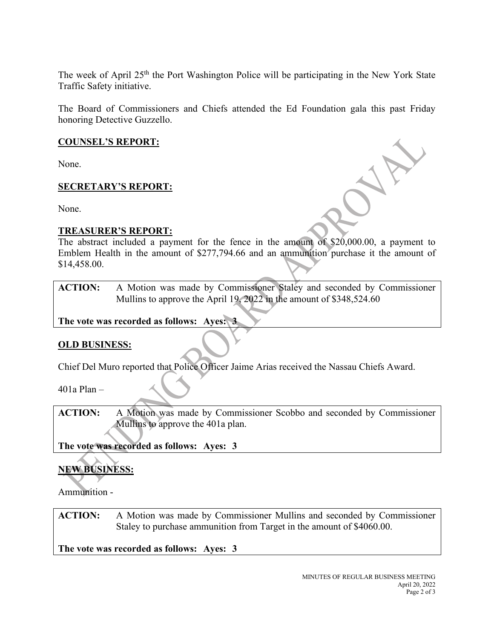The week of April 25<sup>th</sup> the Port Washington Police will be participating in the New York State Traffic Safety initiative.

The Board of Commissioners and Chiefs attended the Ed Foundation gala this past Friday honoring Detective Guzzello.

### **COUNSEL'S REPORT:**

None.

## **SECRETARY'S REPORT:**

None.

#### **TREASURER'S REPORT:**

The abstract included a payment for the fence in the amount of \$20,000.00, a payment to Emblem Health in the amount of \$277,794.66 and an ammunition purchase it the amount of \$14,458.00.

**ACTION:** A Motion was made by Commissioner Staley and seconded by Commissioner Mullins to approve the April 19, 2022 in the amount of \$348,524.60

**The vote was recorded as follows: Ayes: 3**

#### **OLD BUSINESS:**

Chief Del Muro reported that Police Officer Jaime Arias received the Nassau Chiefs Award.

401a Plan –

**ACTION:** A Motion was made by Commissioner Scobbo and seconded by Commissioner Mullins to approve the 401a plan.

**The vote was recorded as follows: Ayes: 3**

# **NEW BUSINESS:**

Ammunition -

**ACTION:** A Motion was made by Commissioner Mullins and seconded by Commissioner Staley to purchase ammunition from Target in the amount of \$4060.00.

**The vote was recorded as follows: Ayes: 3**